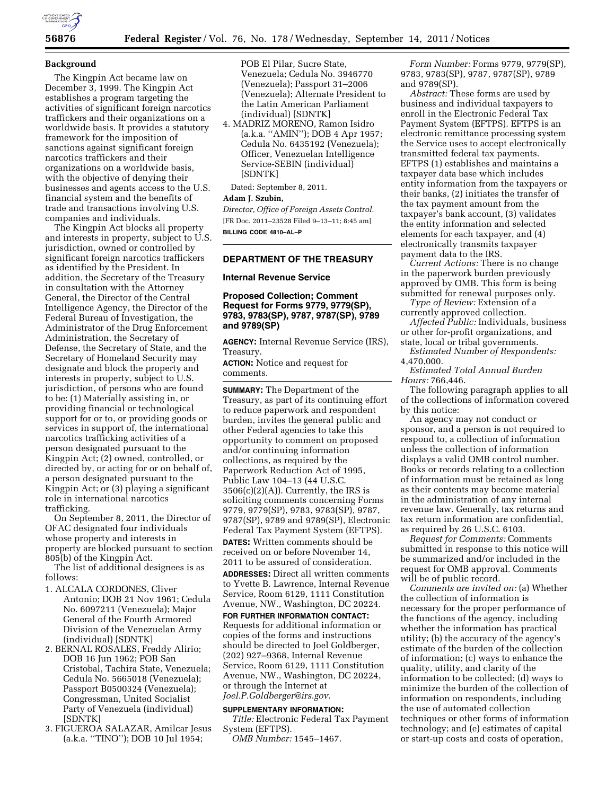

### **Background**

The Kingpin Act became law on December 3, 1999. The Kingpin Act establishes a program targeting the activities of significant foreign narcotics traffickers and their organizations on a worldwide basis. It provides a statutory framework for the imposition of sanctions against significant foreign narcotics traffickers and their organizations on a worldwide basis, with the objective of denying their businesses and agents access to the U.S. financial system and the benefits of trade and transactions involving U.S. companies and individuals.

The Kingpin Act blocks all property and interests in property, subject to U.S. jurisdiction, owned or controlled by significant foreign narcotics traffickers as identified by the President. In addition, the Secretary of the Treasury in consultation with the Attorney General, the Director of the Central Intelligence Agency, the Director of the Federal Bureau of Investigation, the Administrator of the Drug Enforcement Administration, the Secretary of Defense, the Secretary of State, and the Secretary of Homeland Security may designate and block the property and interests in property, subject to U.S. jurisdiction, of persons who are found to be: (1) Materially assisting in, or providing financial or technological support for or to, or providing goods or services in support of, the international narcotics trafficking activities of a person designated pursuant to the Kingpin Act; (2) owned, controlled, or directed by, or acting for or on behalf of, a person designated pursuant to the Kingpin Act; or (3) playing a significant role in international narcotics trafficking.

On September 8, 2011, the Director of OFAC designated four individuals whose property and interests in property are blocked pursuant to section 805(b) of the Kingpin Act.

The list of additional designees is as follows:

- 1. ALCALA CORDONES, Cliver Antonio; DOB 21 Nov 1961; Cedula No. 6097211 (Venezuela); Major General of the Fourth Armored Division of the Venezuelan Army (individual) [SDNTK]
- 2. BERNAL ROSALES, Freddy Alirio; DOB 16 Jun 1962; POB San Cristobal, Tachira State, Venezuela; Cedula No. 5665018 (Venezuela); Passport B0500324 (Venezuela); Congressman, United Socialist Party of Venezuela (individual) [SDNTK]
- 3. FIGUEROA SALAZAR, Amilcar Jesus (a.k.a. ''TINO''); DOB 10 Jul 1954;

POB El Pilar, Sucre State, Venezuela; Cedula No. 3946770 (Venezuela); Passport 31–2006 (Venezuela); Alternate President to the Latin American Parliament (individual) [SDNTK]

4. MADRIZ MORENO, Ramon Isidro (a.k.a. ''AMIN''); DOB 4 Apr 1957; Cedula No. 6435192 (Venezuela); Officer, Venezuelan Intelligence Service-SEBIN (individual) [SDNTK]

Dated: September 8, 2011.

# **Adam J. Szubin,**

*Director, Office of Foreign Assets Control.*  [FR Doc. 2011–23528 Filed 9–13–11; 8:45 am] **BILLING CODE 4810–AL–P** 

### **DEPARTMENT OF THE TREASURY**

### **Internal Revenue Service**

## **Proposed Collection; Comment Request for Forms 9779, 9779(SP), 9783, 9783(SP), 9787, 9787(SP), 9789 and 9789(SP)**

**AGENCY:** Internal Revenue Service (IRS), Treasury.

**ACTION:** Notice and request for comments.

**SUMMARY:** The Department of the Treasury, as part of its continuing effort to reduce paperwork and respondent burden, invites the general public and other Federal agencies to take this opportunity to comment on proposed and/or continuing information collections, as required by the Paperwork Reduction Act of 1995, Public Law 104–13 (44 U.S.C.  $3506(c)(2)(A)$ . Currently, the IRS is soliciting comments concerning Forms 9779, 9779(SP), 9783, 9783(SP), 9787, 9787(SP), 9789 and 9789(SP), Electronic Federal Tax Payment System (EFTPS). **DATES:** Written comments should be received on or before November 14, 2011 to be assured of consideration.

**ADDRESSES:** Direct all written comments to Yvette B. Lawrence, Internal Revenue Service, Room 6129, 1111 Constitution Avenue, NW., Washington, DC 20224.

**FOR FURTHER INFORMATION CONTACT:**  Requests for additional information or copies of the forms and instructions should be directed to Joel Goldberger, (202) 927–9368, Internal Revenue Service, Room 6129, 1111 Constitution Avenue, NW., Washington, DC 20224, or through the Internet at *[Joel.P.Goldberger@irs.gov.](mailto:Joel.P.Goldberger@irs.gov)* 

#### **SUPPLEMENTARY INFORMATION:**

*Title:* Electronic Federal Tax Payment System (EFTPS).

*OMB Number:* 1545–1467.

*Form Number:* Forms 9779, 9779(SP), 9783, 9783(SP), 9787, 9787(SP), 9789 and 9789(SP).

*Abstract:* These forms are used by business and individual taxpayers to enroll in the Electronic Federal Tax Payment System (EFTPS). EFTPS is an electronic remittance processing system the Service uses to accept electronically transmitted federal tax payments. EFTPS (1) establishes and maintains a taxpayer data base which includes entity information from the taxpayers or their banks, (2) initiates the transfer of the tax payment amount from the taxpayer's bank account, (3) validates the entity information and selected elements for each taxpayer, and (4) electronically transmits taxpayer payment data to the IRS.

*Current Actions:* There is no change in the paperwork burden previously approved by OMB. This form is being submitted for renewal purposes only.

*Type of Review:* Extension of a currently approved collection.

*Affected Public:* Individuals, business or other for-profit organizations, and state, local or tribal governments.

*Estimated Number of Respondents:*  4,470,000.

*Estimated Total Annual Burden Hours:* 766,446.

The following paragraph applies to all of the collections of information covered by this notice:

An agency may not conduct or sponsor, and a person is not required to respond to, a collection of information unless the collection of information displays a valid OMB control number. Books or records relating to a collection of information must be retained as long as their contents may become material in the administration of any internal revenue law. Generally, tax returns and tax return information are confidential, as required by 26 U.S.C. 6103.

*Request for Comments:* Comments submitted in response to this notice will be summarized and/or included in the request for OMB approval. Comments will be of public record.

*Comments are invited on:* (a) Whether the collection of information is necessary for the proper performance of the functions of the agency, including whether the information has practical utility; (b) the accuracy of the agency's estimate of the burden of the collection of information; (c) ways to enhance the quality, utility, and clarity of the information to be collected; (d) ways to minimize the burden of the collection of information on respondents, including the use of automated collection techniques or other forms of information technology; and (e) estimates of capital or start-up costs and costs of operation,